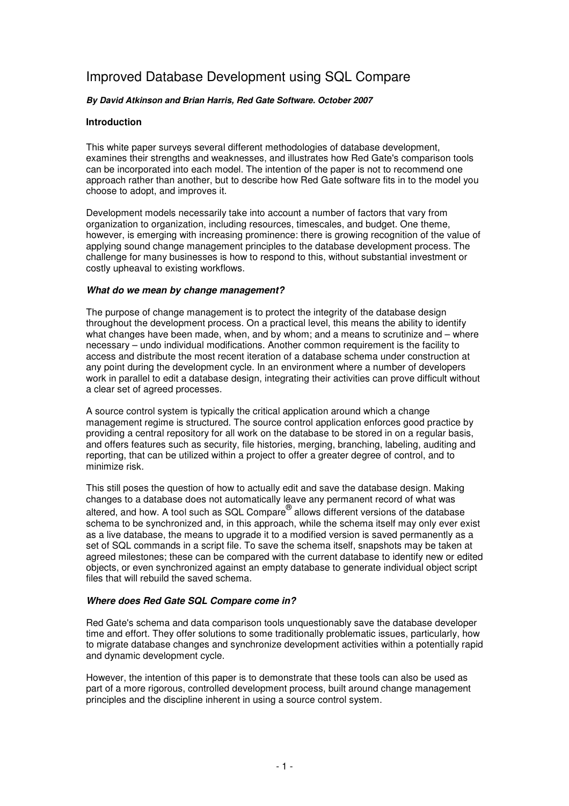# Improved Database Development using SQL Compare

## **By David Atkinson and Brian Harris, Red Gate Software. October 2007**

## **Introduction**

This white paper surveys several different methodologies of database development, examines their strengths and weaknesses, and illustrates how Red Gate's comparison tools can be incorporated into each model. The intention of the paper is not to recommend one approach rather than another, but to describe how Red Gate software fits in to the model you choose to adopt, and improves it.

Development models necessarily take into account a number of factors that vary from organization to organization, including resources, timescales, and budget. One theme, however, is emerging with increasing prominence: there is growing recognition of the value of applying sound change management principles to the database development process. The challenge for many businesses is how to respond to this, without substantial investment or costly upheaval to existing workflows.

## **What do we mean by change management?**

The purpose of change management is to protect the integrity of the database design throughout the development process. On a practical level, this means the ability to identify what changes have been made, when, and by whom; and a means to scrutinize and – where necessary – undo individual modifications. Another common requirement is the facility to access and distribute the most recent iteration of a database schema under construction at any point during the development cycle. In an environment where a number of developers work in parallel to edit a database design, integrating their activities can prove difficult without a clear set of agreed processes.

A source control system is typically the critical application around which a change management regime is structured. The source control application enforces good practice by providing a central repository for all work on the database to be stored in on a regular basis, and offers features such as security, file histories, merging, branching, labeling, auditing and reporting, that can be utilized within a project to offer a greater degree of control, and to minimize risk.

This still poses the question of how to actually edit and save the database design. Making changes to a database does not automatically leave any permanent record of what was altered, and how. A tool such as SQL Compare<sup>®</sup> allows different versions of the database schema to be synchronized and, in this approach, while the schema itself may only ever exist as a live database, the means to upgrade it to a modified version is saved permanently as a set of SQL commands in a script file. To save the schema itself, snapshots may be taken at agreed milestones; these can be compared with the current database to identify new or edited objects, or even synchronized against an empty database to generate individual object script files that will rebuild the saved schema.

## **Where does Red Gate SQL Compare come in?**

Red Gate's schema and data comparison tools unquestionably save the database developer time and effort. They offer solutions to some traditionally problematic issues, particularly, how to migrate database changes and synchronize development activities within a potentially rapid and dynamic development cycle.

However, the intention of this paper is to demonstrate that these tools can also be used as part of a more rigorous, controlled development process, built around change management principles and the discipline inherent in using a source control system.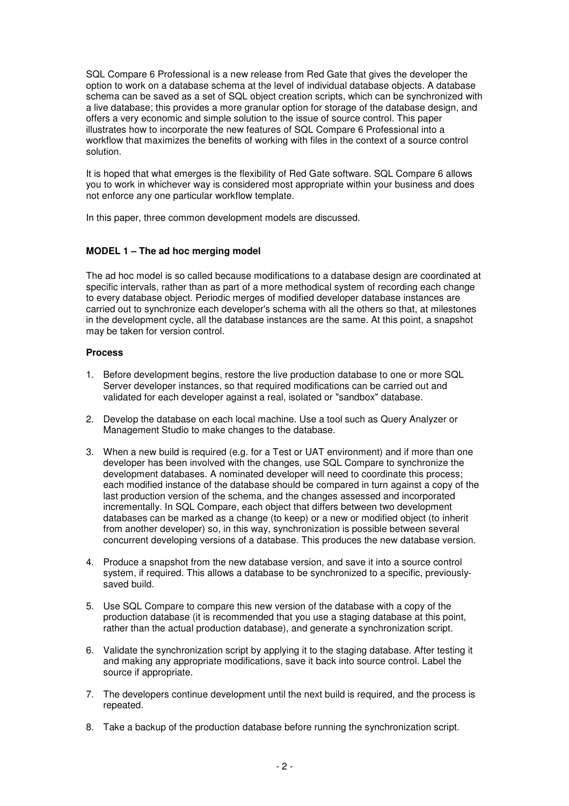SQL Compare 6 Professional is a new release from Red Gate that gives the developer the option to work on a database schema at the level of individual database objects. A database schema can be saved as a set of SQL object creation scripts, which can be synchronized with a live database; this provides a more granular option for storage of the database design, and offers a very economic and simple solution to the issue of source control. This paper illustrates how to incorporate the new features of SQL Compare 6 Professional into a workflow that maximizes the benefits of working with files in the context of a source control solution.

It is hoped that what emerges is the flexibility of Red Gate software. SQL Compare 6 allows you to work in whichever way is considered most appropriate within your business and does not enforce any one particular workflow template.

In this paper, three common development models are discussed.

# **MODEL 1 – The ad hoc merging model**

The ad hoc model is so called because modifications to a database design are coordinated at specific intervals, rather than as part of a more methodical system of recording each change to every database object. Periodic merges of modified developer database instances are carried out to synchronize each developer's schema with all the others so that, at milestones in the development cycle, all the database instances are the same. At this point, a snapshot may be taken for version control.

## **Process**

- 1. Before development begins, restore the live production database to one or more SQL Server developer instances, so that required modifications can be carried out and validated for each developer against a real, isolated or "sandbox" database.
- 2. Develop the database on each local machine. Use a tool such as Query Analyzer or Management Studio to make changes to the database.
- 3. When a new build is required (e.g. for a Test or UAT environment) and if more than one developer has been involved with the changes, use SQL Compare to synchronize the development databases. A nominated developer will need to coordinate this process; each modified instance of the database should be compared in turn against a copy of the last production version of the schema, and the changes assessed and incorporated incrementally. In SQL Compare, each object that differs between two development databases can be marked as a change (to keep) or a new or modified object (to inherit from another developer) so, in this way, synchronization is possible between several concurrent developing versions of a database. This produces the new database version.
- 4. Produce a snapshot from the new database version, and save it into a source control system, if required. This allows a database to be synchronized to a specific, previouslysaved build.
- 5. Use SQL Compare to compare this new version of the database with a copy of the production database (it is recommended that you use a staging database at this point, rather than the actual production database), and generate a synchronization script.
- 6. Validate the synchronization script by applying it to the staging database. After testing it and making any appropriate modifications, save it back into source control. Label the source if appropriate.
- 7. The developers continue development until the next build is required, and the process is repeated.
- 8. Take a backup of the production database before running the synchronization script.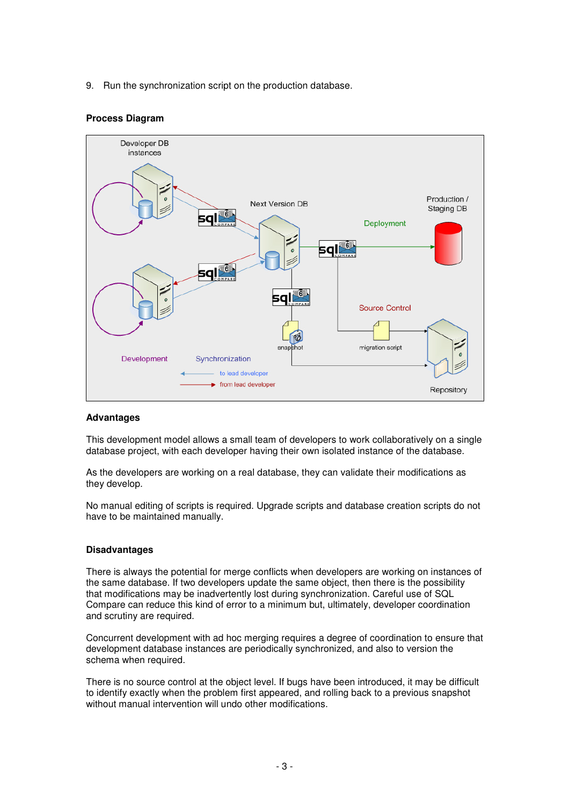9. Run the synchronization script on the production database.

## **Process Diagram**



## **Advantages**

This development model allows a small team of developers to work collaboratively on a single database project, with each developer having their own isolated instance of the database.

As the developers are working on a real database, they can validate their modifications as they develop.

No manual editing of scripts is required. Upgrade scripts and database creation scripts do not have to be maintained manually.

## **Disadvantages**

There is always the potential for merge conflicts when developers are working on instances of the same database. If two developers update the same object, then there is the possibility that modifications may be inadvertently lost during synchronization. Careful use of SQL Compare can reduce this kind of error to a minimum but, ultimately, developer coordination and scrutiny are required.

Concurrent development with ad hoc merging requires a degree of coordination to ensure that development database instances are periodically synchronized, and also to version the schema when required.

There is no source control at the object level. If bugs have been introduced, it may be difficult to identify exactly when the problem first appeared, and rolling back to a previous snapshot without manual intervention will undo other modifications.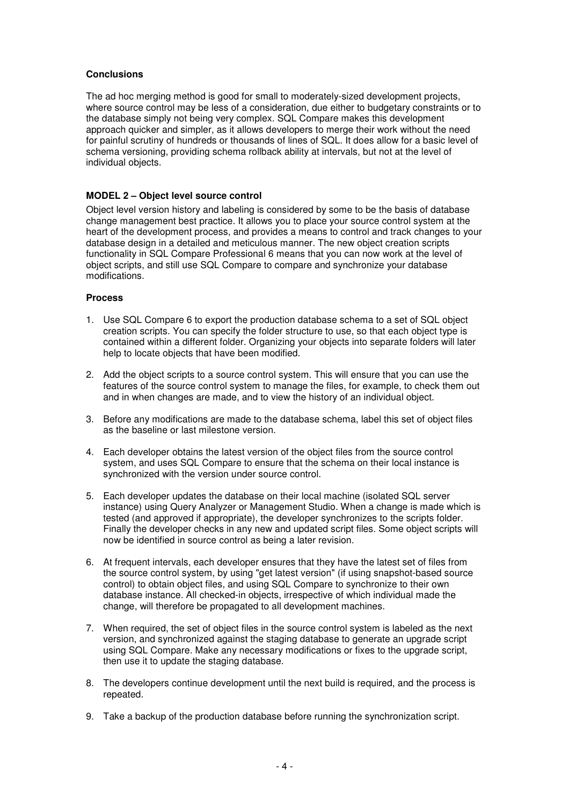## **Conclusions**

The ad hoc merging method is good for small to moderately-sized development projects, where source control may be less of a consideration, due either to budgetary constraints or to the database simply not being very complex. SQL Compare makes this development approach quicker and simpler, as it allows developers to merge their work without the need for painful scrutiny of hundreds or thousands of lines of SQL. It does allow for a basic level of schema versioning, providing schema rollback ability at intervals, but not at the level of individual objects.

# **MODEL 2 – Object level source control**

Object level version history and labeling is considered by some to be the basis of database change management best practice. It allows you to place your source control system at the heart of the development process, and provides a means to control and track changes to your database design in a detailed and meticulous manner. The new object creation scripts functionality in SQL Compare Professional 6 means that you can now work at the level of object scripts, and still use SQL Compare to compare and synchronize your database modifications.

## **Process**

- 1. Use SQL Compare 6 to export the production database schema to a set of SQL object creation scripts. You can specify the folder structure to use, so that each object type is contained within a different folder. Organizing your objects into separate folders will later help to locate objects that have been modified.
- 2. Add the object scripts to a source control system. This will ensure that you can use the features of the source control system to manage the files, for example, to check them out and in when changes are made, and to view the history of an individual object.
- 3. Before any modifications are made to the database schema, label this set of object files as the baseline or last milestone version.
- 4. Each developer obtains the latest version of the object files from the source control system, and uses SQL Compare to ensure that the schema on their local instance is synchronized with the version under source control.
- 5. Each developer updates the database on their local machine (isolated SQL server instance) using Query Analyzer or Management Studio. When a change is made which is tested (and approved if appropriate), the developer synchronizes to the scripts folder. Finally the developer checks in any new and updated script files. Some object scripts will now be identified in source control as being a later revision.
- 6. At frequent intervals, each developer ensures that they have the latest set of files from the source control system, by using "get latest version" (if using snapshot-based source control) to obtain object files, and using SQL Compare to synchronize to their own database instance. All checked-in objects, irrespective of which individual made the change, will therefore be propagated to all development machines.
- 7. When required, the set of object files in the source control system is labeled as the next version, and synchronized against the staging database to generate an upgrade script using SQL Compare. Make any necessary modifications or fixes to the upgrade script, then use it to update the staging database.
- 8. The developers continue development until the next build is required, and the process is repeated.
- 9. Take a backup of the production database before running the synchronization script.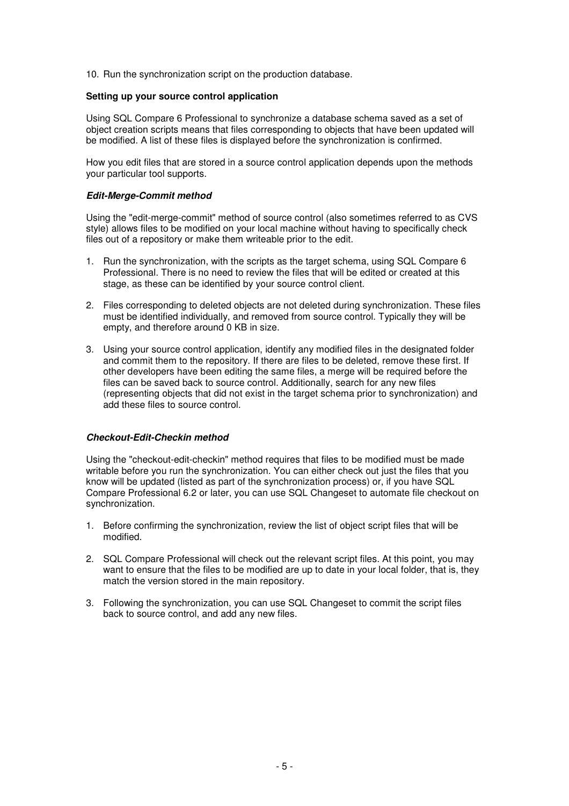10. Run the synchronization script on the production database.

## **Setting up your source control application**

Using SQL Compare 6 Professional to synchronize a database schema saved as a set of object creation scripts means that files corresponding to objects that have been updated will be modified. A list of these files is displayed before the synchronization is confirmed.

How you edit files that are stored in a source control application depends upon the methods your particular tool supports.

## **Edit-Merge-Commit method**

Using the "edit-merge-commit" method of source control (also sometimes referred to as CVS style) allows files to be modified on your local machine without having to specifically check files out of a repository or make them writeable prior to the edit.

- 1. Run the synchronization, with the scripts as the target schema, using SQL Compare 6 Professional. There is no need to review the files that will be edited or created at this stage, as these can be identified by your source control client.
- 2. Files corresponding to deleted objects are not deleted during synchronization. These files must be identified individually, and removed from source control. Typically they will be empty, and therefore around 0 KB in size.
- 3. Using your source control application, identify any modified files in the designated folder and commit them to the repository. If there are files to be deleted, remove these first. If other developers have been editing the same files, a merge will be required before the files can be saved back to source control. Additionally, search for any new files (representing objects that did not exist in the target schema prior to synchronization) and add these files to source control.

## **Checkout-Edit-Checkin method**

Using the "checkout-edit-checkin" method requires that files to be modified must be made writable before you run the synchronization. You can either check out just the files that you know will be updated (listed as part of the synchronization process) or, if you have SQL Compare Professional 6.2 or later, you can use SQL Changeset to automate file checkout on synchronization.

- 1. Before confirming the synchronization, review the list of object script files that will be modified.
- 2. SQL Compare Professional will check out the relevant script files. At this point, you may want to ensure that the files to be modified are up to date in your local folder, that is, they match the version stored in the main repository.
- 3. Following the synchronization, you can use SQL Changeset to commit the script files back to source control, and add any new files.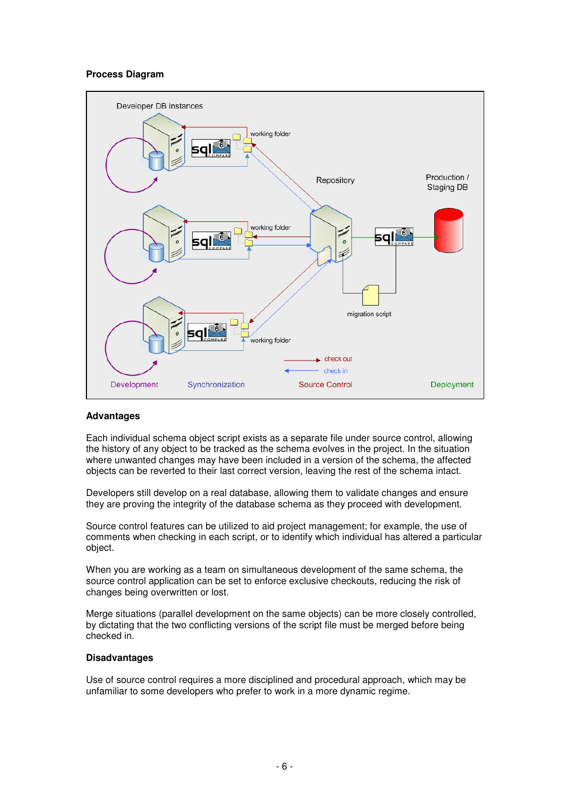## **Process Diagram**



## **Advantages**

Each individual schema object script exists as a separate file under source control, allowing the history of any object to be tracked as the schema evolves in the project. In the situation where unwanted changes may have been included in a version of the schema, the affected objects can be reverted to their last correct version, leaving the rest of the schema intact.

Developers still develop on a real database, allowing them to validate changes and ensure they are proving the integrity of the database schema as they proceed with development.

Source control features can be utilized to aid project management; for example, the use of comments when checking in each script, or to identify which individual has altered a particular object.

When you are working as a team on simultaneous development of the same schema, the source control application can be set to enforce exclusive checkouts, reducing the risk of changes being overwritten or lost.

Merge situations (parallel development on the same objects) can be more closely controlled, by dictating that the two conflicting versions of the script file must be merged before being checked in.

#### **Disadvantages**

Use of source control requires a more disciplined and procedural approach, which may be unfamiliar to some developers who prefer to work in a more dynamic regime.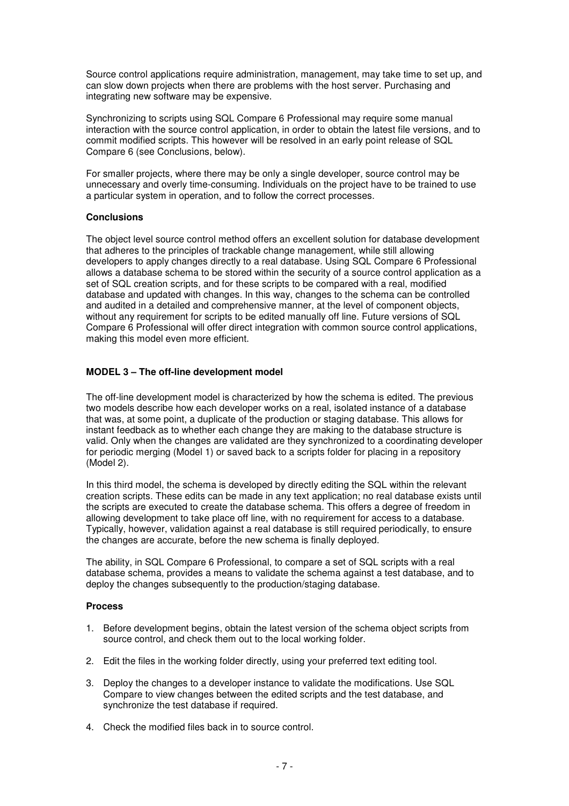Source control applications require administration, management, may take time to set up, and can slow down projects when there are problems with the host server. Purchasing and integrating new software may be expensive.

Synchronizing to scripts using SQL Compare 6 Professional may require some manual interaction with the source control application, in order to obtain the latest file versions, and to commit modified scripts. This however will be resolved in an early point release of SQL Compare 6 (see Conclusions, below).

For smaller projects, where there may be only a single developer, source control may be unnecessary and overly time-consuming. Individuals on the project have to be trained to use a particular system in operation, and to follow the correct processes.

## **Conclusions**

The object level source control method offers an excellent solution for database development that adheres to the principles of trackable change management, while still allowing developers to apply changes directly to a real database. Using SQL Compare 6 Professional allows a database schema to be stored within the security of a source control application as a set of SQL creation scripts, and for these scripts to be compared with a real, modified database and updated with changes. In this way, changes to the schema can be controlled and audited in a detailed and comprehensive manner, at the level of component objects, without any requirement for scripts to be edited manually off line. Future versions of SQL Compare 6 Professional will offer direct integration with common source control applications, making this model even more efficient.

# **MODEL 3 – The off-line development model**

The off-line development model is characterized by how the schema is edited. The previous two models describe how each developer works on a real, isolated instance of a database that was, at some point, a duplicate of the production or staging database. This allows for instant feedback as to whether each change they are making to the database structure is valid. Only when the changes are validated are they synchronized to a coordinating developer for periodic merging (Model 1) or saved back to a scripts folder for placing in a repository (Model 2).

In this third model, the schema is developed by directly editing the SQL within the relevant creation scripts. These edits can be made in any text application; no real database exists until the scripts are executed to create the database schema. This offers a degree of freedom in allowing development to take place off line, with no requirement for access to a database. Typically, however, validation against a real database is still required periodically, to ensure the changes are accurate, before the new schema is finally deployed.

The ability, in SQL Compare 6 Professional, to compare a set of SQL scripts with a real database schema, provides a means to validate the schema against a test database, and to deploy the changes subsequently to the production/staging database.

## **Process**

- 1. Before development begins, obtain the latest version of the schema object scripts from source control, and check them out to the local working folder.
- 2. Edit the files in the working folder directly, using your preferred text editing tool.
- 3. Deploy the changes to a developer instance to validate the modifications. Use SQL Compare to view changes between the edited scripts and the test database, and synchronize the test database if required.
- 4. Check the modified files back in to source control.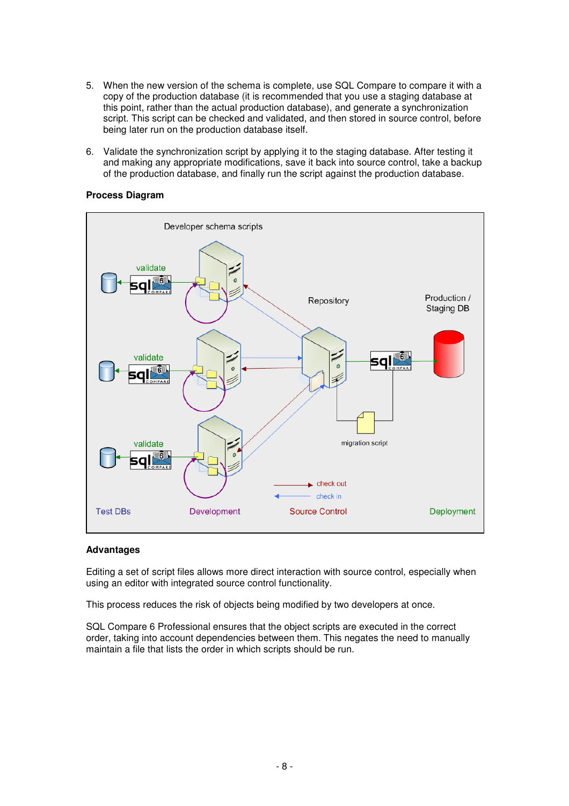- 5. When the new version of the schema is complete, use SQL Compare to compare it with a copy of the production database (it is recommended that you use a staging database at this point, rather than the actual production database), and generate a synchronization script. This script can be checked and validated, and then stored in source control, before being later run on the production database itself.
- 6. Validate the synchronization script by applying it to the staging database. After testing it and making any appropriate modifications, save it back into source control, take a backup of the production database, and finally run the script against the production database.



## **Process Diagram**

#### **Advantages**

Editing a set of script files allows more direct interaction with source control, especially when using an editor with integrated source control functionality.

This process reduces the risk of objects being modified by two developers at once.

SQL Compare 6 Professional ensures that the object scripts are executed in the correct order, taking into account dependencies between them. This negates the need to manually maintain a file that lists the order in which scripts should be run.